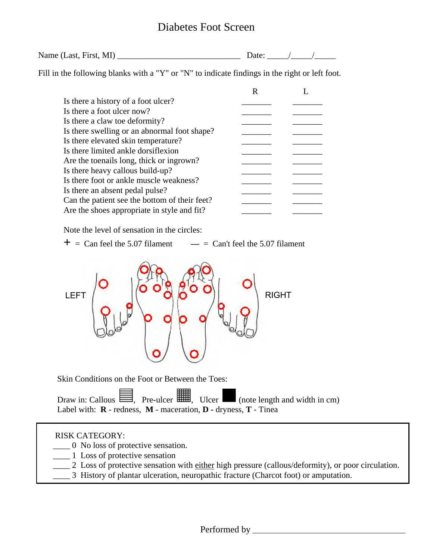## Diabetes Foot Screen

| Name (Last, First, MI) |  |
|------------------------|--|
|------------------------|--|

Fill in the following blanks with a "Y" or "N" to indicate findings in the right or left foot.

Note the level of sensation in the circles:

 $+$  = Can feel the 5.07 filament  $-$  = Can't feel the 5.07 filament



Skin Conditions on the Foot or Between the Toes:

Draw in: Callous  $\equiv$ , Pre-ulcer  $\equiv$ , Ulcer  $\equiv$  (note length and width in cm) Label with: **R** - redness, **M** - maceration, **D -** dryness, **T** - Tinea

#### RISK CATEGORY:

- \_\_\_\_ 0 No loss of protective sensation.
- **1** Loss of protective sensation
	- 2 Loss of protective sensation with either high pressure (callous/deformity), or poor circulation.
	- \_\_\_\_ 3 History of plantar ulceration, neuropathic fracture (Charcot foot) or amputation.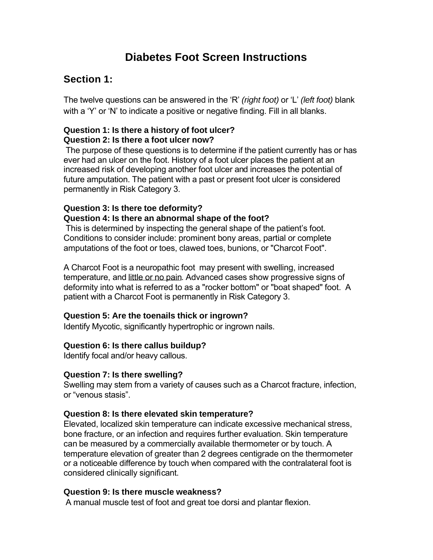# **Diabetes Foot Screen Instructions**

## **Section 1:**

The twelve questions can be answered in the 'R' *(right foot)* or 'L' *(left foot)* blank with a 'Y' or 'N' to indicate a positive or negative finding. Fill in all blanks.

#### **Question 1: Is there a history of foot ulcer? Question 2: Is there a foot ulcer now?**

 The purpose of these questions is to determine if the patient currently has or has ever had an ulcer on the foot. History of a foot ulcer places the patient at an increased risk of developing another foot ulcer and increases the potential of future amputation. The patient with a past or present foot ulcer is considered permanently in Risk Category 3.

#### **Question 3: Is there toe deformity? Question 4: Is there an abnormal shape of the foot?**

 This is determined by inspecting the general shape of the patient's foot. Conditions to consider include: prominent bony areas, partial or complete amputations of the foot or toes, clawed toes, bunions, or "Charcot Foot".

A Charcot Foot is a neuropathic foot may present with swelling, increased temperature, and little or no pain. Advanced cases show progressive signs of deformity into what is referred to as a "rocker bottom" or "boat shaped" foot. A patient with a Charcot Foot is permanently in Risk Category 3.

#### **Question 5: Are the toenails thick or ingrown?**

Identify Mycotic, significantly hypertrophic or ingrown nails.

#### **Question 6: Is there callus buildup?**

Identify focal and/or heavy callous.

#### **Question 7: Is there swelling?**

Swelling may stem from a variety of causes such as a Charcot fracture, infection, or "venous stasis".

#### **Question 8: Is there elevated skin temperature?**

Elevated, localized skin temperature can indicate excessive mechanical stress, bone fracture, or an infection and requires further evaluation. Skin temperature can be measured by a commercially available thermometer or by touch. A temperature elevation of greater than 2 degrees centigrade on the thermometer or a noticeable difference by touch when compared with the contralateral foot is considered clinically significant.

#### **Question 9: Is there muscle weakness?**

A manual muscle test of foot and great toe dorsi and plantar flexion.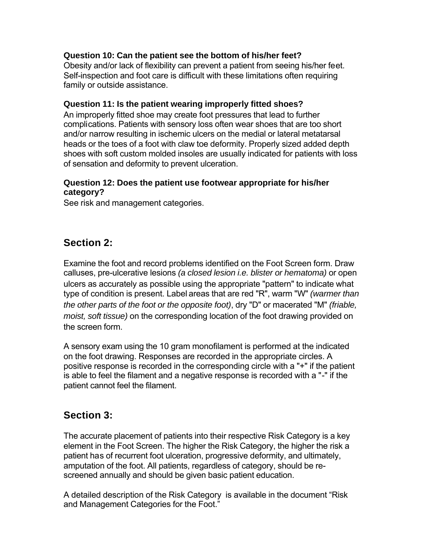#### **Question 10: Can the patient see the bottom of his/her feet?**

Obesity and/or lack of flexibility can prevent a patient from seeing his/her feet. Self-inspection and foot care is difficult with these limitations often requiring family or outside assistance.

#### **Question 11: Is the patient wearing improperly fitted shoes?**

An improperly fitted shoe may create foot pressures that lead to further complications. Patients with sensory loss often wear shoes that are too short and/or narrow resulting in ischemic ulcers on the medial or lateral metatarsal heads or the toes of a foot with claw toe deformity. Properly sized added depth shoes with soft custom molded insoles are usually indicated for patients with loss of sensation and deformity to prevent ulceration.

#### **Question 12: Does the patient use footwear appropriate for his/her category?**

See risk and management categories.

## **Section 2:**

Examine the foot and record problems identified on the Foot Screen form. Draw calluses, pre-ulcerative lesions *(a closed lesion i.e. blister or hematoma)* or open ulcers as accurately as possible using the appropriate "pattern" to indicate what type of condition is present. Label areas that are red "R", warm "W" *(warmer than the other parts of the foot or the opposite foot)*, dry "D" or macerated "M" *(friable, moist, soft tissue)* on the corresponding location of the foot drawing provided on the screen form.

A sensory exam using the 10 gram monofilament is performed at the indicated on the foot drawing. Responses are recorded in the appropriate circles. A positive response is recorded in the corresponding circle with a "+" if the patient is able to feel the filament and a negative response is recorded with a "-" if the patient cannot feel the filament.

### **Section 3:**

The accurate placement of patients into their respective Risk Category is a key element in the Foot Screen. The higher the Risk Category, the higher the risk a patient has of recurrent foot ulceration, progressive deformity, and ultimately, amputation of the foot. All patients, regardless of category, should be rescreened annually and should be given basic patient education.

A detailed description of the Risk Category is available in the document "Risk and Management Categories for the Foot."